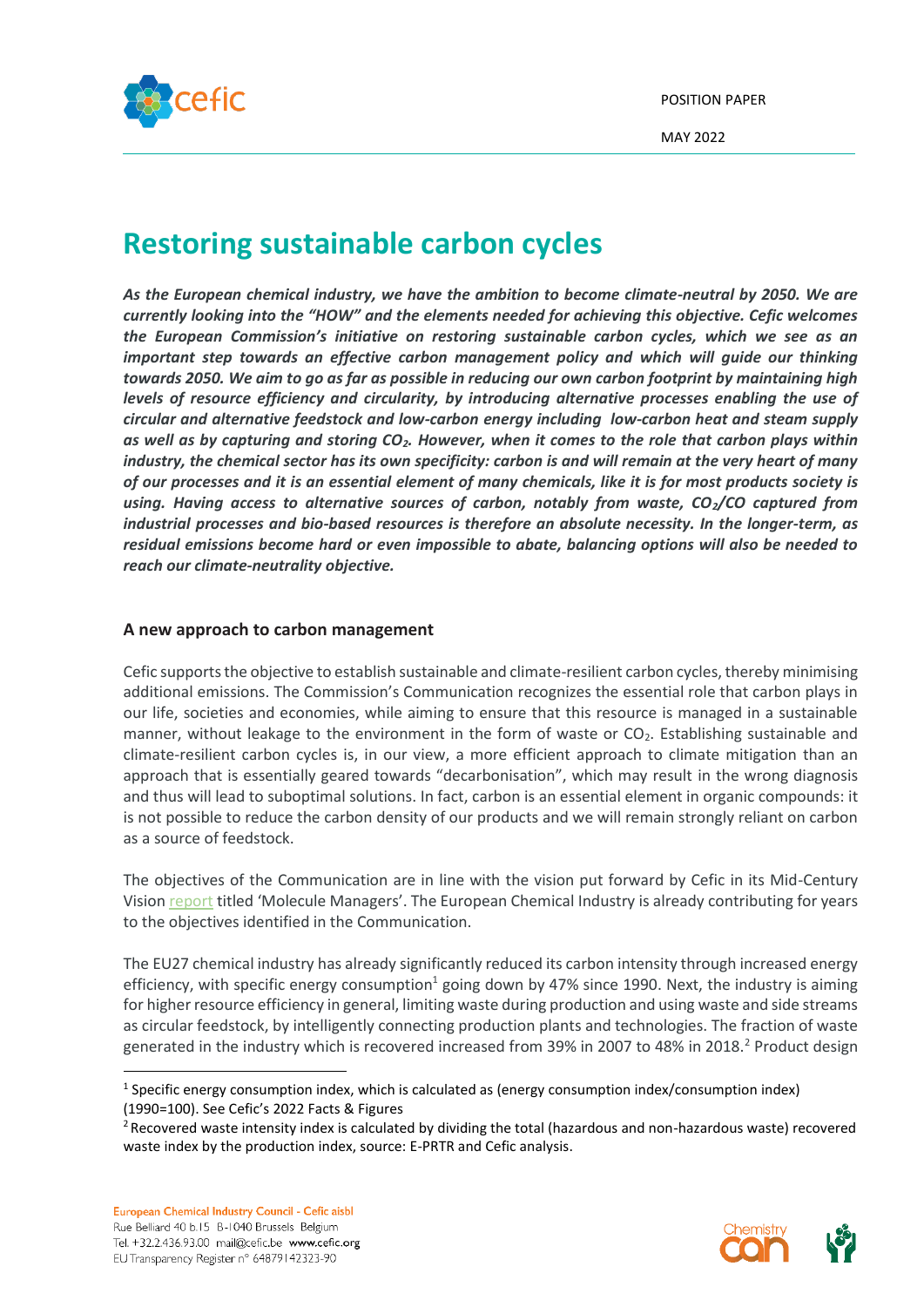

# **Restoring sustainable carbon cycles**

*As the European chemical industry, we have the ambition to become climate-neutral by 2050. We are currently looking into the "HOW" and the elements needed for achieving this objective. Cefic welcomes the European Commission's initiative on restoring sustainable carbon cycles, which we see as an important step towards an effective carbon management policy and which will guide our thinking towards 2050. We aim to go as far as possible in reducing our own carbon footprint by maintaining high levels of resource efficiency and circularity, by introducing alternative processes enabling the use of circular and alternative feedstock and low-carbon energy including low-carbon heat and steam supply as well as by capturing and storing CO2. However, when it comes to the role that carbon plays within industry, the chemical sector has its own specificity: carbon is and will remain at the very heart of many of our processes and it is an essential element of many chemicals, like it is for most products society is using. Having access to alternative sources of carbon, notably from waste, CO2/CO captured from industrial processes and bio-based resources is therefore an absolute necessity. In the longer-term, as residual emissions become hard or even impossible to abate, balancing options will also be needed to reach our climate-neutrality objective.*

### **A new approach to carbon management**

Cefic supports the objective to establish sustainable and climate-resilient carbon cycles, thereby minimising additional emissions. The Commission's Communication recognizes the essential role that carbon plays in our life, societies and economies, while aiming to ensure that this resource is managed in a sustainable manner, without leakage to the environment in the form of waste or  $CO<sub>2</sub>$ . Establishing sustainable and climate-resilient carbon cycles is, in our view, a more efficient approach to climate mitigation than an approach that is essentially geared towards "decarbonisation", which may result in the wrong diagnosis and thus will lead to suboptimal solutions. In fact, carbon is an essential element in organic compounds: it is not possible to reduce the carbon density of our products and we will remain strongly reliant on carbon as a source of feedstock.

The objectives of the Communication are in line with the vision put forward by Cefic in its Mid-Century Vision [report](https://cefic.org/library-item/cefic-mid-century-vision-report-molecule-managers/) titled 'Molecule Managers'. The European Chemical Industry is already contributing for years to the objectives identified in the Communication.

The EU27 chemical industry has already significantly reduced its carbon intensity through increased energy efficiency, with specific energy consumption<sup>1</sup> going down by 47% since 1990. Next, the industry is aiming for higher resource efficiency in general, limiting waste during production and using waste and side streams as circular feedstock, by intelligently connecting production plants and technologies. The fraction of waste generated in the industry which is recovered increased from 39% in 2007 to 48% in 2018.<sup>2</sup> Product design



<sup>&</sup>lt;sup>1</sup> Specific energy consumption index, which is calculated as (energy consumption index/consumption index) (1990=100). See Cefic's 2022 Facts & Figures

<sup>&</sup>lt;sup>2</sup> Recovered waste intensity index is calculated by dividing the total (hazardous and non-hazardous waste) recovered waste index by the production index, source: E-PRTR and Cefic analysis.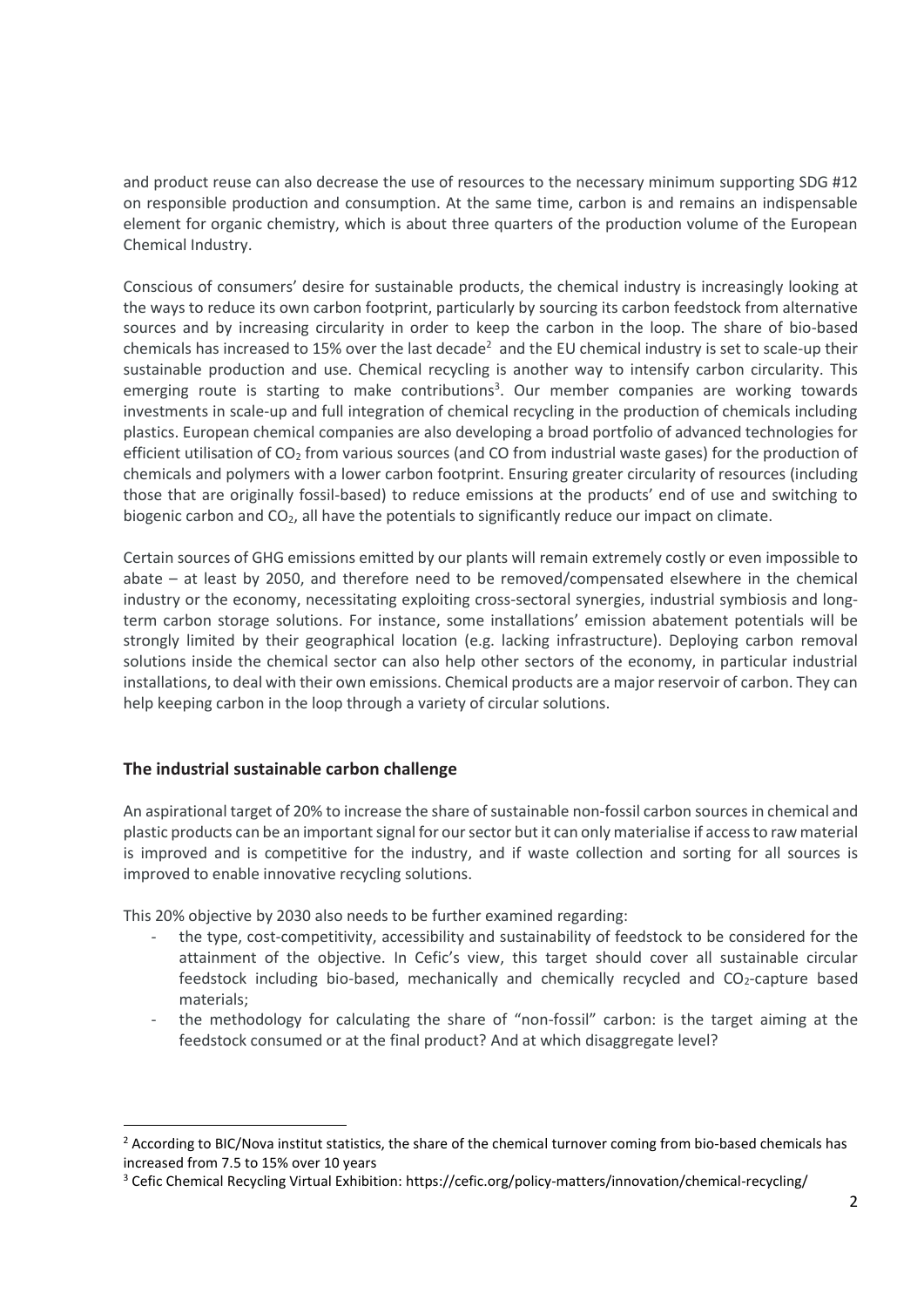and product reuse can also decrease the use of resources to the necessary minimum supporting SDG #12 on responsible production and consumption. At the same time, carbon is and remains an indispensable element for organic chemistry, which is about three quarters of the production volume of the European Chemical Industry.

Conscious of consumers' desire for sustainable products, the chemical industry is increasingly looking at the ways to reduce its own carbon footprint, particularly by sourcing its carbon feedstock from alternative sources and by increasing circularity in order to keep the carbon in the loop. The share of bio-based chemicals has increased to 15% over the last decade<sup>2</sup> and the EU chemical industry is set to scale-up their sustainable production and use. Chemical recycling is another way to intensify carbon circularity. This emerging route is starting to make contributions<sup>3</sup>. Our member companies are working towards investments in scale-up and full integration of chemical recycling in the production of chemicals including plastics. European chemical companies are also developing a broad portfolio of advanced technologies for efficient utilisation of CO<sub>2</sub> from various sources (and CO from industrial waste gases) for the production of chemicals and polymers with a lower carbon footprint. Ensuring greater circularity of resources (including those that are originally fossil-based) to reduce emissions at the products' end of use and switching to biogenic carbon and  $CO<sub>2</sub>$ , all have the potentials to significantly reduce our impact on climate.

Certain sources of GHG emissions emitted by our plants will remain extremely costly or even impossible to abate – at least by 2050, and therefore need to be removed/compensated elsewhere in the chemical industry or the economy, necessitating exploiting cross-sectoral synergies, industrial symbiosis and longterm carbon storage solutions. For instance, some installations' emission abatement potentials will be strongly limited by their geographical location (e.g. lacking infrastructure). Deploying carbon removal solutions inside the chemical sector can also help other sectors of the economy, in particular industrial installations, to deal with their own emissions. Chemical products are a major reservoir of carbon. They can help keeping carbon in the loop through a variety of circular solutions.

# **The industrial sustainable carbon challenge**

An aspirational target of 20% to increase the share of sustainable non-fossil carbon sources in chemical and plastic products can be an important signal for our sector but it can only materialise if access to raw material is improved and is competitive for the industry, and if waste collection and sorting for all sources is improved to enable innovative recycling solutions.

This 20% objective by 2030 also needs to be further examined regarding:

- the type, cost-competitivity, accessibility and sustainability of feedstock to be considered for the attainment of the objective. In Cefic's view, this target should cover all sustainable circular feedstock including bio-based, mechanically and chemically recycled and  $CO<sub>2</sub>$ -capture based materials;
- the methodology for calculating the share of "non-fossil" carbon: is the target aiming at the feedstock consumed or at the final product? And at which disaggregate level?

<sup>&</sup>lt;sup>2</sup> According to BIC/Nova institut statistics, the share of the chemical turnover coming from bio-based chemicals has increased from 7.5 to 15% over 10 years

<sup>&</sup>lt;sup>3</sup> Cefic Chemical Recycling Virtual Exhibition: https://cefic.org/policy-matters/innovation/chemical-recycling/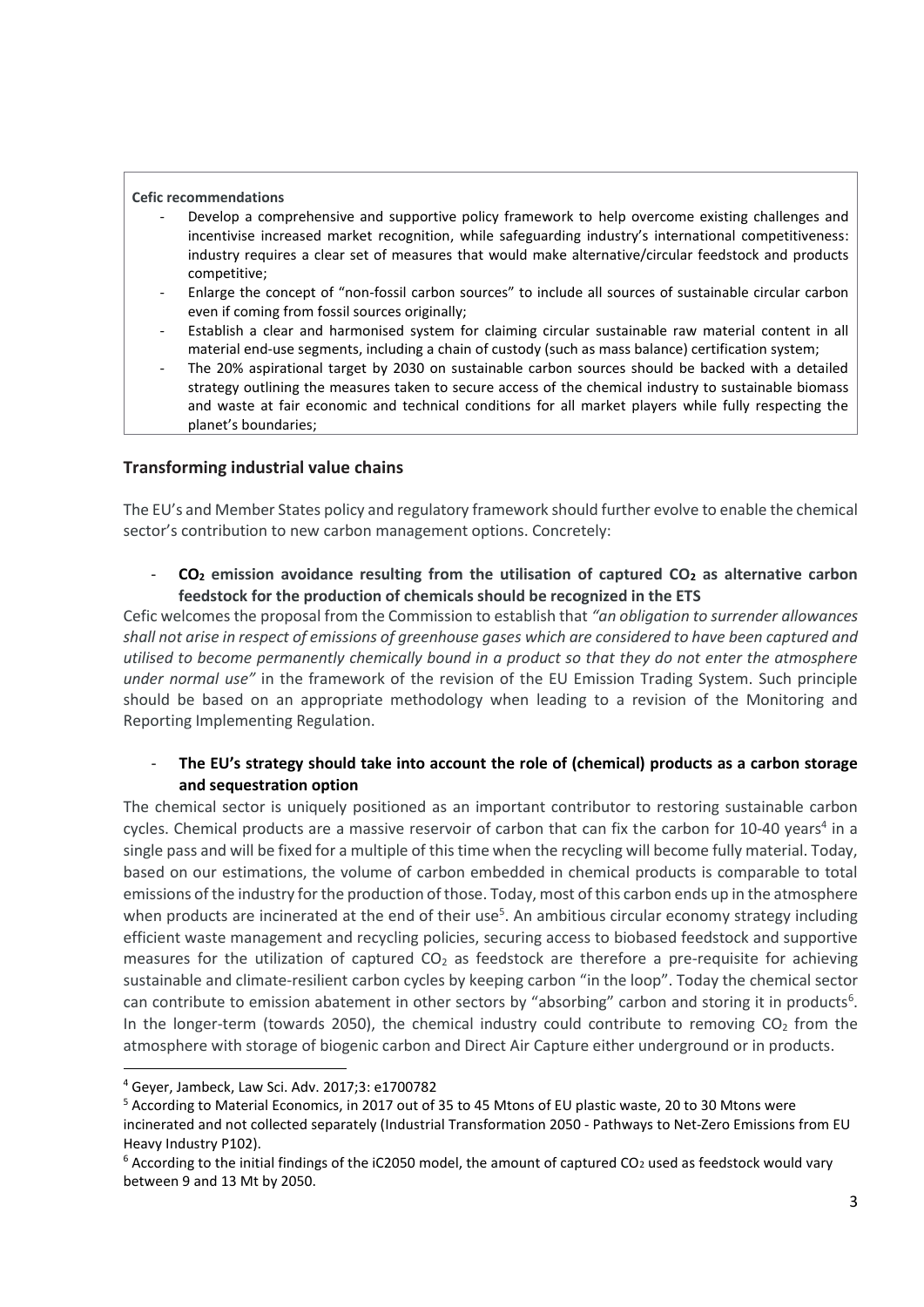#### **Cefic recommendations**

- Develop a comprehensive and supportive policy framework to help overcome existing challenges and incentivise increased market recognition, while safeguarding industry's international competitiveness: industry requires a clear set of measures that would make alternative/circular feedstock and products competitive;
- Enlarge the concept of "non-fossil carbon sources" to include all sources of sustainable circular carbon even if coming from fossil sources originally;
- Establish a clear and harmonised system for claiming circular sustainable raw material content in all material end-use segments, including a chain of custody (such as mass balance) certification system;
- The 20% aspirational target by 2030 on sustainable carbon sources should be backed with a detailed strategy outlining the measures taken to secure access of the chemical industry to sustainable biomass and waste at fair economic and technical conditions for all market players while fully respecting the planet's boundaries;

### **Transforming industrial value chains**

The EU's and Member States policy and regulatory framework should further evolve to enable the chemical sector's contribution to new carbon management options. Concretely:

- **CO<sup>2</sup> emission avoidance resulting from the utilisation of captured CO<sup>2</sup> as alternative carbon feedstock for the production of chemicals should be recognized in the ETS** 

Cefic welcomes the proposal from the Commission to establish that *"an obligation to surrender allowances shall not arise in respect of emissions of greenhouse gases which are considered to have been captured and utilised to become permanently chemically bound in a product so that they do not enter the atmosphere under normal use"* in the framework of the revision of the EU Emission Trading System. Such principle should be based on an appropriate methodology when leading to a revision of the Monitoring and Reporting Implementing Regulation.

### - **The EU's strategy should take into account the role of (chemical) products as a carbon storage and sequestration option**

The chemical sector is uniquely positioned as an important contributor to restoring sustainable carbon cycles. Chemical products are a massive reservoir of carbon that can fix the carbon for 10-40 years<sup>4</sup> in a single pass and will be fixed for a multiple of this time when the recycling will become fully material. Today, based on our estimations, the volume of carbon embedded in chemical products is comparable to total emissions of the industry for the production of those. Today, most of this carbon ends up in the atmosphere when products are incinerated at the end of their use<sup>5</sup>. An ambitious circular economy strategy including efficient waste management and recycling policies, securing access to biobased feedstock and supportive measures for the utilization of captured  $CO<sub>2</sub>$  as feedstock are therefore a pre-requisite for achieving sustainable and climate-resilient carbon cycles by keeping carbon "in the loop". Today the chemical sector can contribute to emission abatement in other sectors by "absorbing" carbon and storing it in products<sup>6</sup>. In the longer-term (towards 2050), the chemical industry could contribute to removing  $CO<sub>2</sub>$  from the atmosphere with storage of biogenic carbon and Direct Air Capture either underground or in products.

<sup>4</sup> Geyer, Jambeck, Law Sci. Adv. 2017;3: e1700782

<sup>&</sup>lt;sup>5</sup> According to Material Economics, in 2017 out of 35 to 45 Mtons of EU plastic waste, 20 to 30 Mtons were incinerated and not collected separately (Industrial Transformation 2050 - Pathways to Net-Zero Emissions from EU Heavy Industry P102).

 $6$  According to the initial findings of the iC2050 model, the amount of captured CO<sub>2</sub> used as feedstock would vary between 9 and 13 Mt by 2050.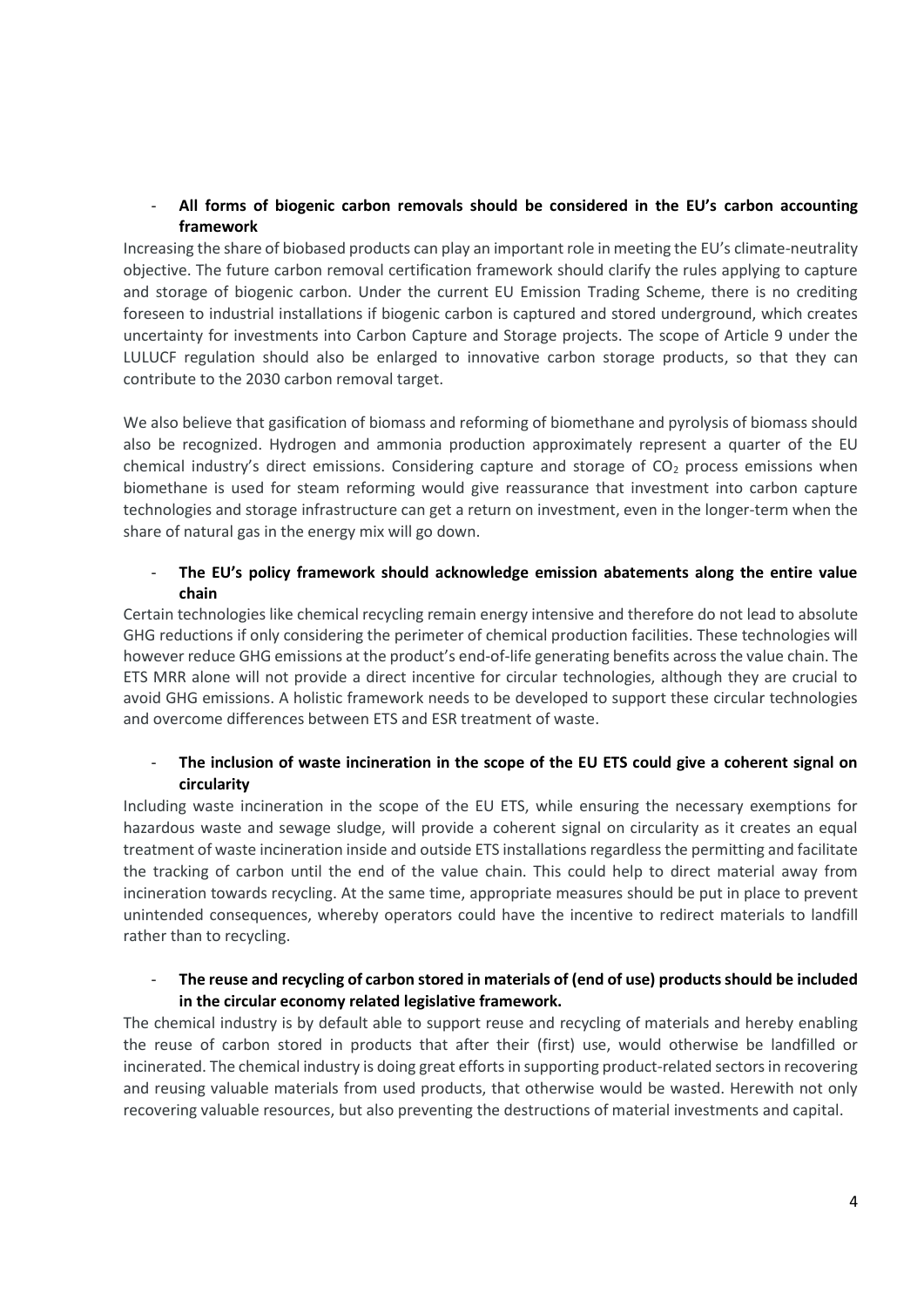# - **All forms of biogenic carbon removals should be considered in the EU's carbon accounting framework**

Increasing the share of biobased products can play an important role in meeting the EU's climate-neutrality objective. The future carbon removal certification framework should clarify the rules applying to capture and storage of biogenic carbon. Under the current EU Emission Trading Scheme, there is no crediting foreseen to industrial installations if biogenic carbon is captured and stored underground, which creates uncertainty for investments into Carbon Capture and Storage projects. The scope of Article 9 under the LULUCF regulation should also be enlarged to innovative carbon storage products, so that they can contribute to the 2030 carbon removal target.

We also believe that gasification of biomass and reforming of biomethane and pyrolysis of biomass should also be recognized. Hydrogen and ammonia production approximately represent a quarter of the EU chemical industry's direct emissions. Considering capture and storage of  $CO<sub>2</sub>$  process emissions when biomethane is used for steam reforming would give reassurance that investment into carbon capture technologies and storage infrastructure can get a return on investment, even in the longer-term when the share of natural gas in the energy mix will go down.

## - **The EU's policy framework should acknowledge emission abatements along the entire value chain**

Certain technologies like chemical recycling remain energy intensive and therefore do not lead to absolute GHG reductions if only considering the perimeter of chemical production facilities. These technologies will however reduce GHG emissions at the product's end-of-life generating benefits across the value chain. The ETS MRR alone will not provide a direct incentive for circular technologies, although they are crucial to avoid GHG emissions. A holistic framework needs to be developed to support these circular technologies and overcome differences between ETS and ESR treatment of waste.

# The inclusion of waste incineration in the scope of the EU ETS could give a coherent signal on **circularity**

Including waste incineration in the scope of the EU ETS, while ensuring the necessary exemptions for hazardous waste and sewage sludge, will provide a coherent signal on circularity as it creates an equal treatment of waste incineration inside and outside ETS installations regardless the permitting and facilitate the tracking of carbon until the end of the value chain. This could help to direct material away from incineration towards recycling. At the same time, appropriate measures should be put in place to prevent unintended consequences, whereby operators could have the incentive to redirect materials to landfill rather than to recycling.

### - **The reuse and recycling of carbon stored in materials of (end of use) products should be included in the circular economy related legislative framework.**

The chemical industry is by default able to support reuse and recycling of materials and hereby enabling the reuse of carbon stored in products that after their (first) use, would otherwise be landfilled or incinerated. The chemical industry is doing great efforts in supporting product-related sectors in recovering and reusing valuable materials from used products, that otherwise would be wasted. Herewith not only recovering valuable resources, but also preventing the destructions of material investments and capital.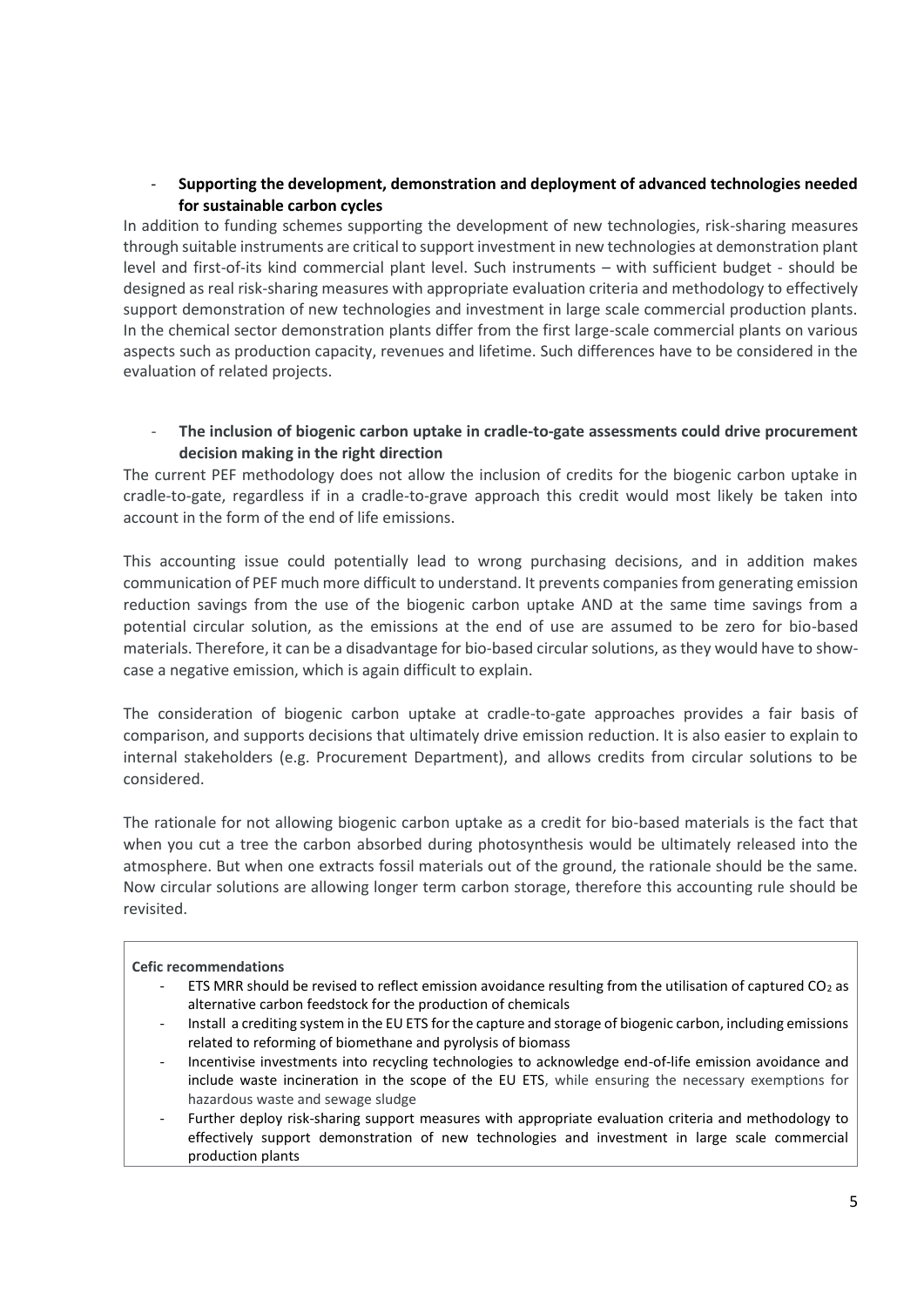# - **Supporting the development, demonstration and deployment of advanced technologies needed for sustainable carbon cycles**

In addition to funding schemes supporting the development of new technologies, risk-sharing measures through suitable instruments are critical to support investment in new technologies at demonstration plant level and first-of-its kind commercial plant level. Such instruments – with sufficient budget - should be designed as real risk-sharing measures with appropriate evaluation criteria and methodology to effectively support demonstration of new technologies and investment in large scale commercial production plants. In the chemical sector demonstration plants differ from the first large-scale commercial plants on various aspects such as production capacity, revenues and lifetime. Such differences have to be considered in the evaluation of related projects.

# - **The inclusion of biogenic carbon uptake in cradle-to-gate assessments could drive procurement decision making in the right direction**

The current PEF methodology does not allow the inclusion of credits for the biogenic carbon uptake in cradle-to-gate, regardless if in a cradle-to-grave approach this credit would most likely be taken into account in the form of the end of life emissions.

This accounting issue could potentially lead to wrong purchasing decisions, and in addition makes communication of PEF much more difficult to understand. It prevents companies from generating emission reduction savings from the use of the biogenic carbon uptake AND at the same time savings from a potential circular solution, as the emissions at the end of use are assumed to be zero for bio-based materials. Therefore, it can be a disadvantage for bio-based circular solutions, as they would have to showcase a negative emission, which is again difficult to explain.

The consideration of biogenic carbon uptake at cradle-to-gate approaches provides a fair basis of comparison, and supports decisions that ultimately drive emission reduction. It is also easier to explain to internal stakeholders (e.g. Procurement Department), and allows credits from circular solutions to be considered.

The rationale for not allowing biogenic carbon uptake as a credit for bio-based materials is the fact that when you cut a tree the carbon absorbed during photosynthesis would be ultimately released into the atmosphere. But when one extracts fossil materials out of the ground, the rationale should be the same. Now circular solutions are allowing longer term carbon storage, therefore this accounting rule should be revisited.

#### **Cefic recommendations**

- ETS MRR should be revised to reflect emission avoidance resulting from the utilisation of captured  $CO<sub>2</sub>$  as alternative carbon feedstock for the production of chemicals
- Install a crediting system in the EU ETS for the capture and storage of biogenic carbon, including emissions related to reforming of biomethane and pyrolysis of biomass
- Incentivise investments into recycling technologies to acknowledge end-of-life emission avoidance and include waste incineration in the scope of the EU ETS, while ensuring the necessary exemptions for hazardous waste and sewage sludge
- Further deploy risk-sharing support measures with appropriate evaluation criteria and methodology to effectively support demonstration of new technologies and investment in large scale commercial production plants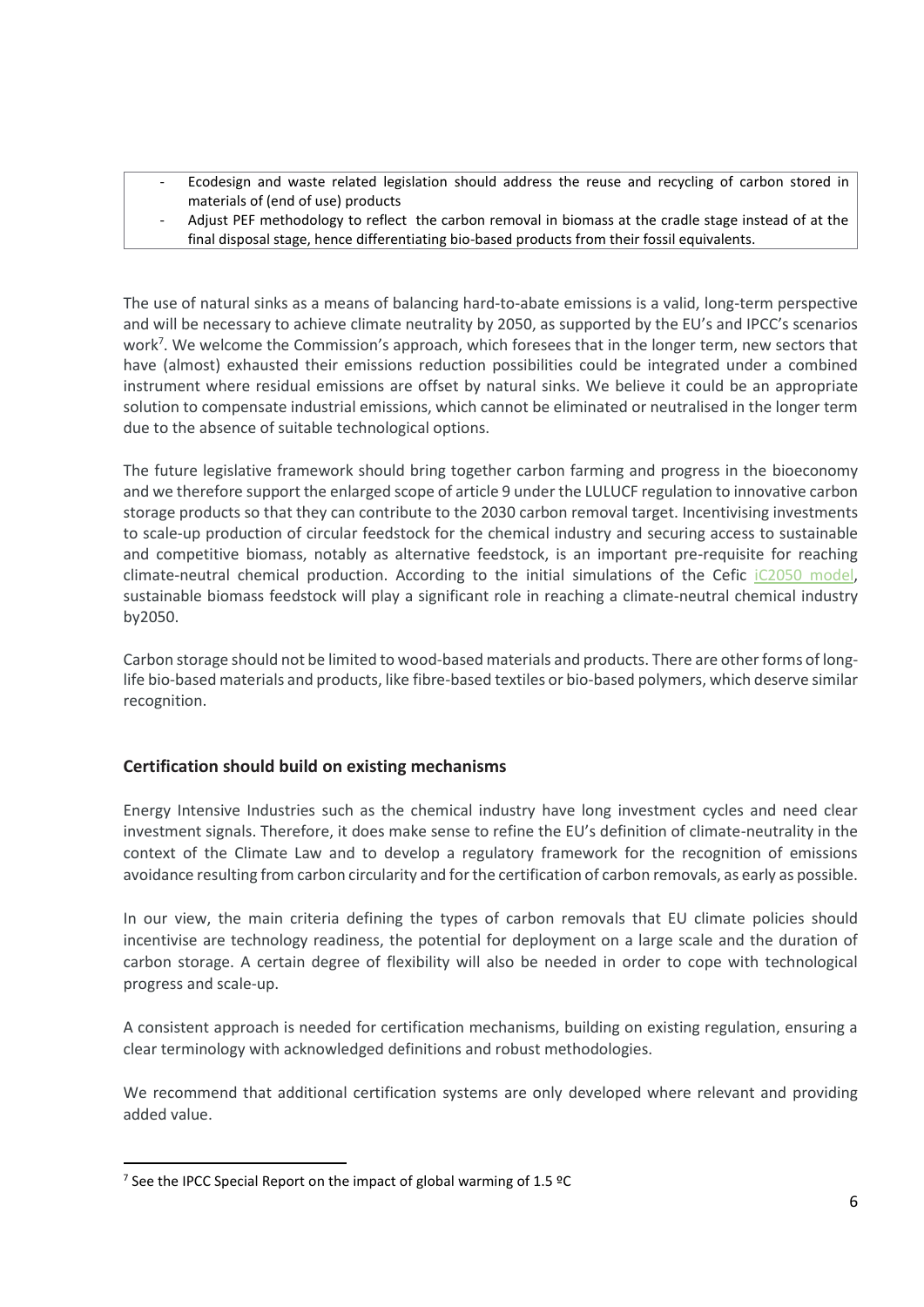- Ecodesign and waste related legislation should address the reuse and recycling of carbon stored in materials of (end of use) products
- Adjust PEF methodology to reflect the carbon removal in biomass at the cradle stage instead of at the final disposal stage, hence differentiating bio-based products from their fossil equivalents.

The use of natural sinks as a means of balancing hard-to-abate emissions is a valid, long-term perspective and will be necessary to achieve climate neutrality by 2050, as supported by the EU's and IPCC's scenarios work<sup>7</sup>. We welcome the Commission's approach, which foresees that in the longer term, new sectors that have (almost) exhausted their emissions reduction possibilities could be integrated under a combined instrument where residual emissions are offset by natural sinks. We believe it could be an appropriate solution to compensate industrial emissions, which cannot be eliminated or neutralised in the longer term due to the absence of suitable technological options.

The future legislative framework should bring together carbon farming and progress in the bioeconomy and we therefore support the enlarged scope of article 9 under the LULUCF regulation to innovative carbon storage products so that they can contribute to the 2030 carbon removal target. Incentivising investments to scale-up production of circular feedstock for the chemical industry and securing access to sustainable and competitive biomass, notably as alternative feedstock, is an important pre-requisite for reaching climate-neutral chemical production. According to the initial simulations of the Cefic [iC2050 model,](https://cefic.org/policy-matters/climate-change-and-energy/towards-implementing-the-climate-law/) sustainable biomass feedstock will play a significant role in reaching a climate-neutral chemical industry by2050.

Carbon storage should not be limited to wood-based materials and products. There are other forms of longlife bio-based materials and products, like fibre-based textiles or bio-based polymers, which deserve similar recognition.

# **Certification should build on existing mechanisms**

Energy Intensive Industries such as the chemical industry have long investment cycles and need clear investment signals. Therefore, it does make sense to refine the EU's definition of climate-neutrality in the context of the Climate Law and to develop a regulatory framework for the recognition of emissions avoidance resulting from carbon circularity and for the certification of carbon removals, as early as possible.

In our view, the main criteria defining the types of carbon removals that EU climate policies should incentivise are technology readiness, the potential for deployment on a large scale and the duration of carbon storage. A certain degree of flexibility will also be needed in order to cope with technological progress and scale-up.

A consistent approach is needed for certification mechanisms, building on existing regulation, ensuring a clear terminology with acknowledged definitions and robust methodologies.

We recommend that additional certification systems are only developed where relevant and providing added value.

<sup>&</sup>lt;sup>7</sup> See the IPCC Special Report on the impact of global warming of 1.5  $°C$